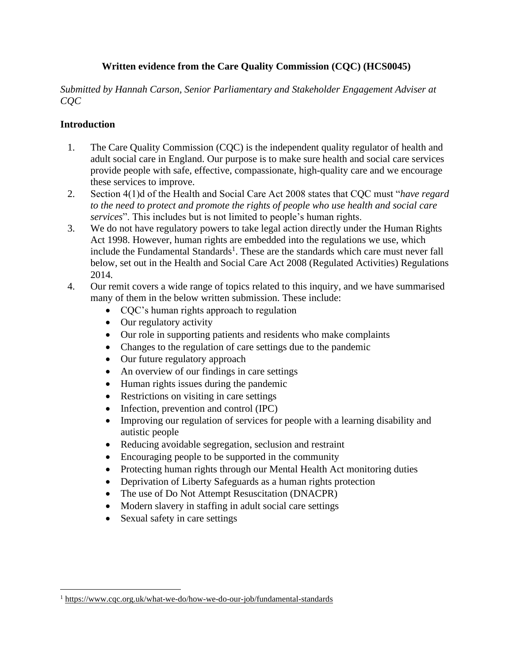## **Written evidence from the Care Quality Commission (CQC) (HCS0045)**

*Submitted by Hannah Carson, Senior Parliamentary and Stakeholder Engagement Adviser at CQC*

## **Introduction**

- 1. The Care Quality Commission (CQC) is the independent quality regulator of health and adult social care in England. Our purpose is to make sure health and social care services provide people with safe, effective, compassionate, high-quality care and we encourage these services to improve.
- 2. Section 4(1)d of the Health and Social Care Act 2008 states that CQC must "*have regard*  to the need to protect and promote the rights of people who use health and social care *services*". This includes but is not limited to people's human rights.
- 3. We do not have regulatory powers to take legal action directly under the Human Rights Act 1998. However, human rights are embedded into the regulations we use, which include the Fundamental Standards<sup>1</sup>. These are the standards which care must never fall below, set out in the Health and Social Care Act 2008 (Regulated Activities) Regulations 2014*.*
- 4. Our remit covers a wide range of topics related to this inquiry, and we have summarised many of them in the below written submission. These include:
	- CQC's human rights approach to regulation
	- Our regulatory activity
	- Our role in supporting patients and residents who make complaints
	- Changes to the regulation of care settings due to the pandemic
	- Our future regulatory approach
	- An overview of our findings in care settings
	- Human rights issues during the pandemic
	- Restrictions on visiting in care settings
	- Infection, prevention and control (IPC)
	- Improving our regulation of services for people with a learning disability and autistic people
	- Reducing avoidable segregation, seclusion and restraint
	- Encouraging people to be supported in the community
	- Protecting human rights through our Mental Health Act monitoring duties
	- Deprivation of Liberty Safeguards as a human rights protection
	- The use of Do Not Attempt Resuscitation (DNACPR)
	- Modern slavery in staffing in adult social care settings
	- Sexual safety in care settings

<sup>1</sup> <https://www.cqc.org.uk/what-we-do/how-we-do-our-job/fundamental-standards>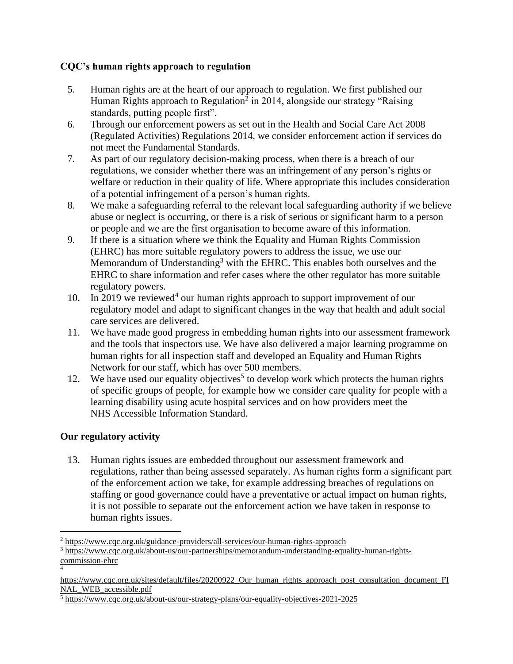## **CQC's human rights approach to regulation**

- 5. Human rights are at the heart of our approach to regulation. We first published our Human Rights approach to Regulation<sup>2</sup> in 2014, alongside our strategy "Raising standards, putting people first".
- 6. Through our enforcement powers as set out in the Health and Social Care Act 2008 (Regulated Activities) Regulations 2014, we consider enforcement action if services do not meet the Fundamental Standards.
- 7. As part of our regulatory decision-making process, when there is a breach of our regulations, we consider whether there was an infringement of any person's rights or welfare or reduction in their quality of life. Where appropriate this includes consideration of a potential infringement of a person's human rights.
- 8. We make a safeguarding referral to the relevant local safeguarding authority if we believe abuse or neglect is occurring, or there is a risk of serious or significant harm to a person or people and we are the first organisation to become aware of this information.
- 9. If there is a situation where we think the Equality and Human Rights Commission (EHRC) has more suitable regulatory powers to address the issue, we use our Memorandum of Understanding<sup>3</sup> with the EHRC. This enables both ourselves and the EHRC to share information and refer cases where the other regulator has more suitable regulatory powers.
- 10. In 2019 we reviewed<sup>4</sup> our human rights approach to support improvement of our regulatory model and adapt to significant changes in the way that health and adult social care services are delivered.
- 11. We have made good progress in embedding human rights into our assessment framework and the tools that inspectors use. We have also delivered a major learning programme on human rights for all inspection staff and developed an Equality and Human Rights Network for our staff, which has over 500 members.
- 12. We have used our equality objectives<sup>5</sup> to develop work which protects the human rights of specific groups of people, for example how we consider care quality for people with a learning disability using acute hospital services and on how providers meet the NHS Accessible Information Standard.

# **Our regulatory activity**

13. Human rights issues are embedded throughout our assessment framework and regulations, rather than being assessed separately. As human rights form a significant part of the enforcement action we take, for example addressing breaches of regulations on staffing or good governance could have a preventative or actual impact on human rights, it is not possible to separate out the enforcement action we have taken in response to human rights issues.

<sup>2</sup> <https://www.cqc.org.uk/guidance-providers/all-services/our-human-rights-approach>

<sup>3</sup> [https://www.cqc.org.uk/about-us/our-partnerships/memorandum-understanding-equality-human-rights](https://www.cqc.org.uk/about-us/our-partnerships/memorandum-understanding-equality-human-rights-commission-ehrc)[commission-ehrc](https://www.cqc.org.uk/about-us/our-partnerships/memorandum-understanding-equality-human-rights-commission-ehrc) 4

[https://www.cqc.org.uk/sites/default/files/20200922\\_Our\\_human\\_rights\\_approach\\_post\\_consultation\\_document\\_FI](https://www.cqc.org.uk/sites/default/files/20200922_Our_human_rights_approach_post_consultation_document_FINAL_WEB_accessible.pdf) [NAL\\_WEB\\_accessible.pdf](https://www.cqc.org.uk/sites/default/files/20200922_Our_human_rights_approach_post_consultation_document_FINAL_WEB_accessible.pdf)

<sup>5</sup> <https://www.cqc.org.uk/about-us/our-strategy-plans/our-equality-objectives-2021-2025>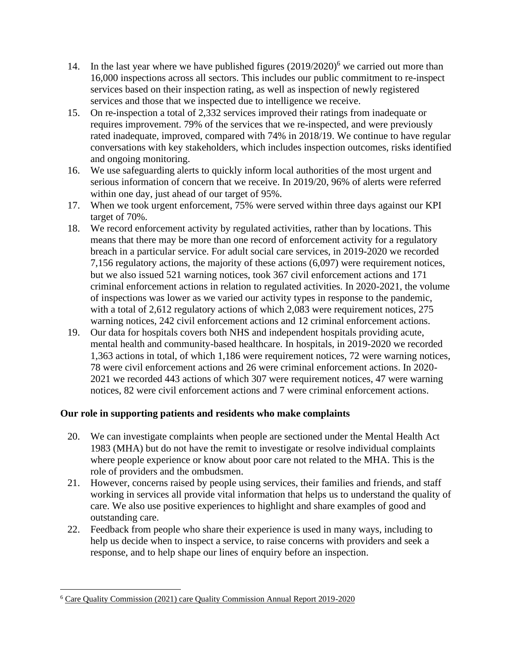- 14. In the last year where we have published figures  $(2019/2020)^6$  we carried out more than 16,000 inspections across all sectors. This includes our public commitment to re-inspect services based on their inspection rating, as well as inspection of newly registered services and those that we inspected due to intelligence we receive.
- 15. On re-inspection a total of 2,332 services improved their ratings from inadequate or requires improvement. 79% of the services that we re-inspected, and were previously rated inadequate, improved, compared with 74% in 2018/19. We continue to have regular conversations with key stakeholders, which includes inspection outcomes, risks identified and ongoing monitoring.
- 16. We use safeguarding alerts to quickly inform local authorities of the most urgent and serious information of concern that we receive. In 2019/20, 96% of alerts were referred within one day, just ahead of our target of 95%.
- 17. When we took urgent enforcement, 75% were served within three days against our KPI target of 70%.
- 18. We record enforcement activity by regulated activities, rather than by locations. This means that there may be more than one record of enforcement activity for a regulatory breach in a particular service. For adult social care services, in 2019-2020 we recorded 7,156 regulatory actions, the majority of these actions (6,097) were requirement notices, but we also issued 521 warning notices, took 367 civil enforcement actions and 171 criminal enforcement actions in relation to regulated activities. In 2020-2021, the volume of inspections was lower as we varied our activity types in response to the pandemic, with a total of 2,612 regulatory actions of which 2,083 were requirement notices, 275 warning notices, 242 civil enforcement actions and 12 criminal enforcement actions.
- 19. Our data for hospitals covers both NHS and independent hospitals providing acute, mental health and community-based healthcare. In hospitals, in 2019-2020 we recorded 1,363 actions in total, of which 1,186 were requirement notices, 72 were warning notices, 78 were civil enforcement actions and 26 were criminal enforcement actions. In 2020- 2021 we recorded 443 actions of which 307 were requirement notices, 47 were warning notices, 82 were civil enforcement actions and 7 were criminal enforcement actions.

## **Our role in supporting patients and residents who make complaints**

- 20. We can investigate complaints when people are sectioned under the Mental Health Act 1983 (MHA) but do not have the remit to investigate or resolve individual complaints where people experience or know about poor care not related to the MHA. This is the role of providers and the ombudsmen.
- 21. However, concerns raised by people using services, their families and friends, and staff working in services all provide vital information that helps us to understand the quality of care. We also use positive experiences to highlight and share examples of good and outstanding care.
- 22. Feedback from people who share their experience is used in many ways, including to help us decide when to inspect a service, to raise concerns with providers and seek a response, and to help shape our lines of enquiry before an inspection.

<sup>6</sup> Care Quality Commission (2021) care Quality Commission Annual Report 2019-2020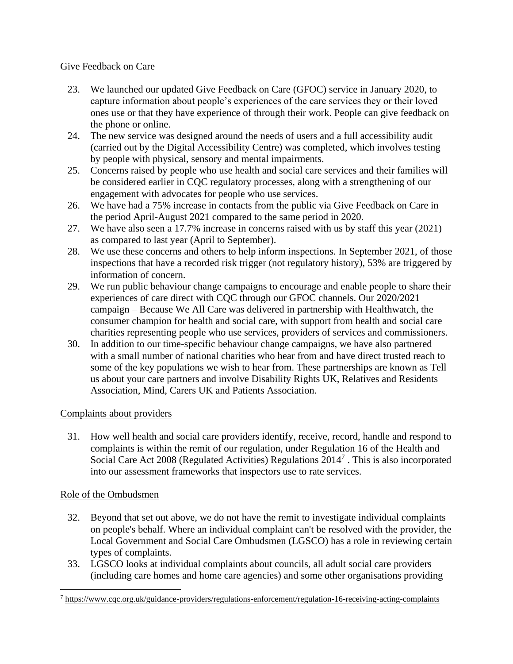## Give Feedback on Care

- 23. We launched our updated Give Feedback on Care (GFOC) service in January 2020, to capture information about people's experiences of the care services they or their loved ones use or that they have experience of through their work. People can give feedback on the phone or online.
- 24. The new service was designed around the needs of users and a full accessibility audit (carried out by the Digital Accessibility Centre) was completed, which involves testing by people with physical, sensory and mental impairments.
- 25. Concerns raised by people who use health and social care services and their families will be considered earlier in CQC regulatory processes, along with a strengthening of our engagement with advocates for people who use services.
- 26. We have had a 75% increase in contacts from the public via Give Feedback on Care in the period April-August 2021 compared to the same period in 2020.
- 27. We have also seen a 17.7% increase in concerns raised with us by staff this year (2021) as compared to last year (April to September).
- 28. We use these concerns and others to help inform inspections. In September 2021, of those inspections that have a recorded risk trigger (not regulatory history), 53% are triggered by information of concern.
- 29. We run public behaviour change campaigns to encourage and enable people to share their experiences of care direct with CQC through our GFOC channels. Our 2020/2021 campaign – Because We All Care was delivered in partnership with Healthwatch, the consumer champion for health and social care, with support from health and social care charities representing people who use services, providers of services and commissioners.
- 30. In addition to our time-specific behaviour change campaigns, we have also partnered with a small number of national charities who hear from and have direct trusted reach to some of the key populations we wish to hear from. These partnerships are known as Tell us about your care partners and involve Disability Rights UK, Relatives and Residents Association, Mind, Carers UK and Patients Association.

## Complaints about providers

31. How well health and social care providers identify, receive, record, handle and respond to complaints is within the remit of our regulation, under Regulation 16 of the Health and Social Care Act 2008 (Regulated Activities) Regulations 2014<sup>7</sup>. This is also incorporated into our assessment frameworks that inspectors use to rate services.

## Role of the Ombudsmen

- 32. Beyond that set out above, we do not have the remit to investigate individual complaints on people's behalf. Where an individual complaint can't be resolved with the provider, the Local Government and Social Care Ombudsmen (LGSCO) has a role in reviewing certain types of complaints.
- 33. LGSCO looks at individual complaints about councils, all adult social care providers (including care homes and home care agencies) and some other organisations providing

<sup>7</sup> <https://www.cqc.org.uk/guidance-providers/regulations-enforcement/regulation-16-receiving-acting-complaints>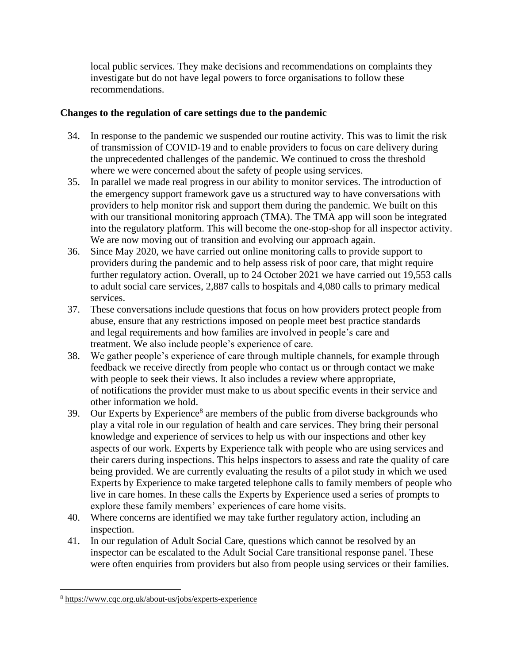local public services. They make decisions and recommendations on complaints they investigate but do not have legal powers to force organisations to follow these recommendations.

## **Changes to the regulation of care settings due to the pandemic**

- 34. In response to the pandemic we suspended our routine activity. This was to limit the risk of transmission of COVID-19 and to enable providers to focus on care delivery during the unprecedented challenges of the pandemic. We continued to cross the threshold where we were concerned about the safety of people using services.
- 35. In parallel we made real progress in our ability to monitor services. The introduction of the emergency support framework gave us a structured way to have conversations with providers to help monitor risk and support them during the pandemic. We built on this with our transitional monitoring approach (TMA). The TMA app will soon be integrated into the regulatory platform. This will become the one-stop-shop for all inspector activity. We are now moving out of transition and evolving our approach again.
- 36. Since May 2020, we have carried out online monitoring calls to provide support to providers during the pandemic and to help assess risk of poor care, that might require further regulatory action. Overall, up to 24 October 2021 we have carried out 19,553 calls to adult social care services, 2,887 calls to hospitals and 4,080 calls to primary medical services.
- 37. These conversations include questions that focus on how providers protect people from abuse, ensure that any restrictions imposed on people meet best practice standards and legal requirements and how families are involved in people's care and treatment. We also include people's experience of care.
- 38. We gather people's experience of care through multiple channels, for example through feedback we receive directly from people who contact us or through contact we make with people to seek their views. It also includes a review where appropriate, of notifications the provider must make to us about specific events in their service and other information we hold.
- 39. Our Experts by Experience<sup>8</sup> are members of the public from diverse backgrounds who play a vital role in our regulation of health and care services. They bring their personal knowledge and experience of services to help us with our inspections and other key aspects of our work. Experts by Experience talk with people who are using services and their carers during inspections. This helps inspectors to assess and rate the quality of care being provided. We are currently evaluating the results of a pilot study in which we used Experts by Experience to make targeted telephone calls to family members of people who live in care homes. In these calls the Experts by Experience used a series of prompts to explore these family members' experiences of care home visits.
- 40. Where concerns are identified we may take further regulatory action, including an inspection.
- 41. In our regulation of Adult Social Care, questions which cannot be resolved by an inspector can be escalated to the Adult Social Care transitional response panel. These were often enquiries from providers but also from people using services or their families.

<sup>8</sup> <https://www.cqc.org.uk/about-us/jobs/experts-experience>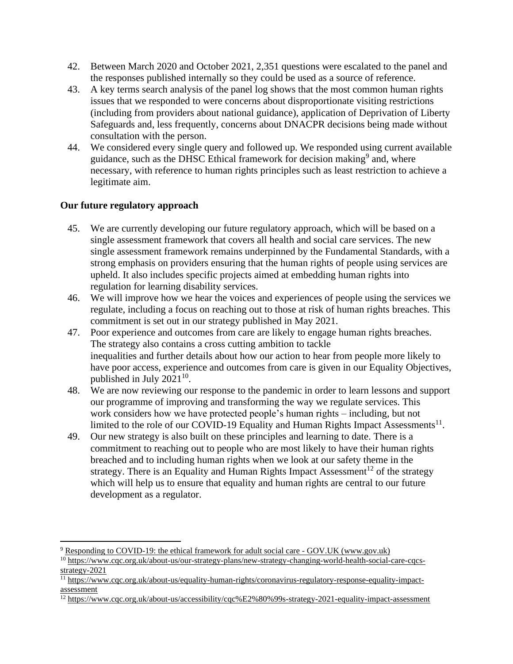- 42. Between March 2020 and October 2021, 2,351 questions were escalated to the panel and the responses published internally so they could be used as a source of reference.
- 43. A key terms search analysis of the panel log shows that the most common human rights issues that we responded to were concerns about disproportionate visiting restrictions (including from providers about national guidance), application of Deprivation of Liberty Safeguards and, less frequently, concerns about DNACPR decisions being made without consultation with the person.
- 44. We considered every single query and followed up. We responded using current available guidance, such as the DHSC Ethical framework for decision making<sup>9</sup> and, where necessary, with reference to human rights principles such as least restriction to achieve a legitimate aim.

## **Our future regulatory approach**

- 45. We are currently developing our future regulatory approach, which will be based on a single assessment framework that covers all health and social care services. The new single assessment framework remains underpinned by the Fundamental Standards, with a strong emphasis on providers ensuring that the human rights of people using services are upheld. It also includes specific projects aimed at embedding human rights into regulation for learning disability services.
- 46. We will improve how we hear the voices and experiences of people using the services we regulate, including a focus on reaching out to those at risk of human rights breaches. This commitment is set out in our strategy published in May 2021.
- 47. Poor experience and outcomes from care are likely to engage human rights breaches. The strategy also contains a cross cutting ambition to tackle inequalities and further details about how our action to hear from people more likely to have poor access, experience and outcomes from care is given in our Equality Objectives, published in July  $2021^{10}$ .
- 48. We are now reviewing our response to the pandemic in order to learn lessons and support our programme of improving and transforming the way we regulate services. This work considers how we have protected people's human rights – including, but not limited to the role of our COVID-19 Equality and Human Rights Impact Assessments<sup>11</sup>.
- 49. Our new strategy is also built on these principles and learning to date. There is a commitment to reaching out to people who are most likely to have their human rights breached and to including human rights when we look at our safety theme in the strategy. There is an Equality and Human Rights Impact Assessment<sup>12</sup> of the strategy which will help us to ensure that equality and human rights are central to our future development as a regulator.

<sup>9</sup> [Responding to COVID-19: the ethical framework for adult social care -](https://www.gov.uk/government/publications/covid-19-ethical-framework-for-adult-social-care/responding-to-covid-19-the-ethical-framework-for-adult-social-care) GOV.UK (www.gov.uk)

<sup>&</sup>lt;sup>10</sup> [https://www.cqc.org.uk/about-us/our-strategy-plans/new-strategy-changing-world-health-social-care-cqcs](https://www.cqc.org.uk/about-us/our-strategy-plans/new-strategy-changing-world-health-social-care-cqcs-strategy-2021)[strategy-2021](https://www.cqc.org.uk/about-us/our-strategy-plans/new-strategy-changing-world-health-social-care-cqcs-strategy-2021)

<sup>11</sup> [https://www.cqc.org.uk/about-us/equality-human-rights/coronavirus-regulatory-response-equality-impact](https://www.cqc.org.uk/about-us/equality-human-rights/coronavirus-regulatory-response-equality-impact-assessment)[assessment](https://www.cqc.org.uk/about-us/equality-human-rights/coronavirus-regulatory-response-equality-impact-assessment)

<sup>12</sup> <https://www.cqc.org.uk/about-us/accessibility/cqc%E2%80%99s-strategy-2021-equality-impact-assessment>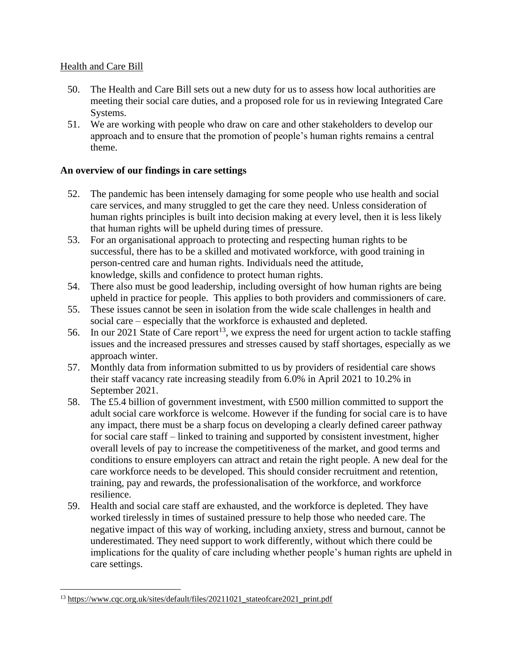#### Health and Care Bill

- 50. The Health and Care Bill sets out a new duty for us to assess how local authorities are meeting their social care duties, and a proposed role for us in reviewing Integrated Care Systems.
- 51. We are working with people who draw on care and other stakeholders to develop our approach and to ensure that the promotion of people's human rights remains a central theme.

#### **An overview of our findings in care settings**

- 52. The pandemic has been intensely damaging for some people who use health and social care services, and many struggled to get the care they need. Unless consideration of human rights principles is built into decision making at every level, then it is less likely that human rights will be upheld during times of pressure.
- 53. For an organisational approach to protecting and respecting human rights to be successful, there has to be a skilled and motivated workforce, with good training in person-centred care and human rights. Individuals need the attitude, knowledge, skills and confidence to protect human rights.
- 54. There also must be good leadership, including oversight of how human rights are being upheld in practice for people. This applies to both providers and commissioners of care.
- 55. These issues cannot be seen in isolation from the wide scale challenges in health and social care – especially that the workforce is exhausted and depleted.
- 56. In our 2021 State of Care report<sup>13</sup>, we express the need for urgent action to tackle staffing issues and the increased pressures and stresses caused by staff shortages, especially as we approach winter.
- 57. Monthly data from information submitted to us by providers of residential care shows their staff vacancy rate increasing steadily from 6.0% in April 2021 to 10.2% in September 2021.
- 58. The £5.4 billion of government investment, with £500 million committed to support the adult social care workforce is welcome. However if the funding for social care is to have any impact, there must be a sharp focus on developing a clearly defined career pathway for social care staff – linked to training and supported by consistent investment, higher overall levels of pay to increase the competitiveness of the market, and good terms and conditions to ensure employers can attract and retain the right people. A new deal for the care workforce needs to be developed. This should consider recruitment and retention, training, pay and rewards, the professionalisation of the workforce, and workforce resilience.
- 59. Health and social care staff are exhausted, and the workforce is depleted. They have worked tirelessly in times of sustained pressure to help those who needed care. The negative impact of this way of working, including anxiety, stress and burnout, cannot be underestimated. They need support to work differently, without which there could be implications for the quality of care including whether people's human rights are upheld in care settings.

<sup>&</sup>lt;sup>13</sup> [https://www.cqc.org.uk/sites/default/files/20211021\\_stateofcare2021\\_print.pdf](https://www.cqc.org.uk/sites/default/files/20211021_stateofcare2021_print.pdf)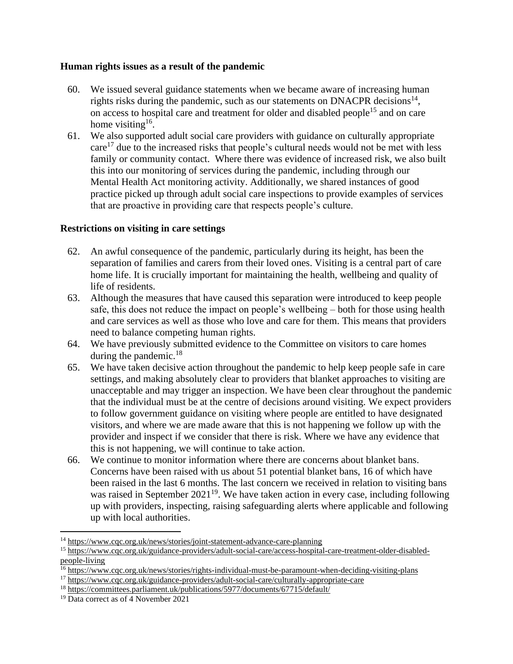#### **Human rights issues as a result of the pandemic**

- 60. We issued several guidance statements when we became aware of increasing human rights risks during the pandemic, such as our statements on DNACPR decisions $^{14}$ , on access to hospital care and treatment for older and disabled people<sup>15</sup> and on care home visiting<sup>16</sup>.
- 61. We also supported adult social care providers with guidance on culturally appropriate care<sup>17</sup> due to the increased risks that people's cultural needs would not be met with less family or community contact. Where there was evidence of increased risk, we also built this into our monitoring of services during the pandemic, including through our Mental Health Act monitoring activity. Additionally, we shared instances of good practice picked up through adult social care inspections to provide examples of services that are proactive in providing care that respects people's culture.

#### **Restrictions on visiting in care settings**

- 62. An awful consequence of the pandemic, particularly during its height, has been the separation of families and carers from their loved ones. Visiting is a central part of care home life. It is crucially important for maintaining the health, wellbeing and quality of life of residents.
- 63. Although the measures that have caused this separation were introduced to keep people safe, this does not reduce the impact on people's wellbeing – both for those using health and care services as well as those who love and care for them. This means that providers need to balance competing human rights.
- 64. We have previously submitted evidence to the Committee on visitors to care homes during the pandemic. $18$
- 65. We have taken decisive action throughout the pandemic to help keep people safe in care settings, and making absolutely clear to providers that blanket approaches to visiting are unacceptable and may trigger an inspection. We have been clear throughout the pandemic that the individual must be at the centre of decisions around visiting. We expect providers to follow government guidance on visiting where people are entitled to have designated visitors, and where we are made aware that this is not happening we follow up with the provider and inspect if we consider that there is risk. Where we have any evidence that this is not happening, we will continue to take action.
- 66. We continue to monitor information where there are concerns about blanket bans. Concerns have been raised with us about 51 potential blanket bans, 16 of which have been raised in the last 6 months. The last concern we received in relation to visiting bans was raised in September  $2021^{19}$ . We have taken action in every case, including following up with providers, inspecting, raising safeguarding alerts where applicable and following up with local authorities.

<sup>14</sup> <https://www.cqc.org.uk/news/stories/joint-statement-advance-care-planning>

<sup>15</sup> [https://www.cqc.org.uk/guidance-providers/adult-social-care/access-hospital-care-treatment-older-disabled](https://www.cqc.org.uk/guidance-providers/adult-social-care/access-hospital-care-treatment-older-disabled-people-living)[people-living](https://www.cqc.org.uk/guidance-providers/adult-social-care/access-hospital-care-treatment-older-disabled-people-living)

<sup>&</sup>lt;sup>16</sup> <https://www.cqc.org.uk/news/stories/rights-individual-must-be-paramount-when-deciding-visiting-plans>

<sup>17</sup> <https://www.cqc.org.uk/guidance-providers/adult-social-care/culturally-appropriate-care>

<sup>18</sup> <https://committees.parliament.uk/publications/5977/documents/67715/default/>

<sup>&</sup>lt;sup>19</sup> Data correct as of 4 November 2021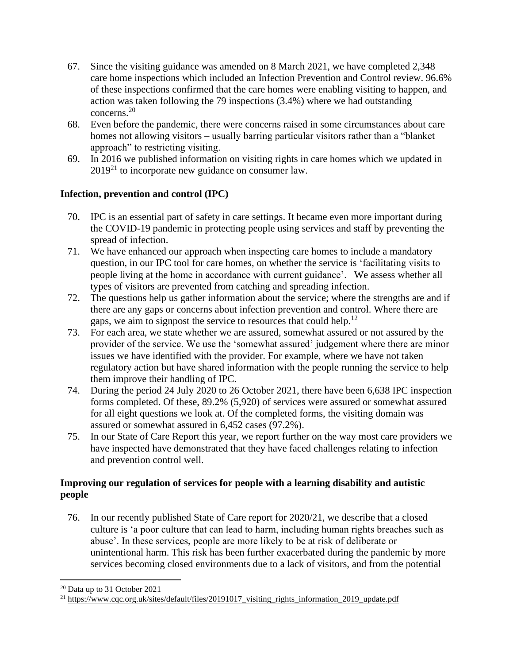- 67. Since the visiting guidance was amended on 8 March 2021, we have completed 2,348 care home inspections which included an Infection Prevention and Control review. 96.6% of these inspections confirmed that the care homes were enabling visiting to happen, and action was taken following the 79 inspections (3.4%) where we had outstanding concerns.<sup>20</sup>
- 68. Even before the pandemic, there were concerns raised in some circumstances about care homes not allowing visitors – usually barring particular visitors rather than a "blanket approach" to restricting visiting.
- 69. In 2016 we published information on visiting rights in care homes which we updated in  $2019^{21}$  to incorporate new guidance on consumer law.

# **Infection, prevention and control (IPC)**

- 70. IPC is an essential part of safety in care settings. It became even more important during the COVID-19 pandemic in protecting people using services and staff by preventing the spread of infection.
- 71. We have enhanced our approach when inspecting care homes to include a mandatory question, in our IPC tool for care homes, on whether the service is 'facilitating visits to people living at the home in accordance with current guidance'. We assess whether all types of visitors are prevented from catching and spreading infection.
- 72. The questions help us gather information about the service; where the strengths are and if there are any gaps or concerns about infection prevention and control. Where there are gaps, we aim to signpost the service to resources that could help.<sup>12</sup>
- 73. For each area, we state whether we are assured, somewhat assured or not assured by the provider of the service. We use the 'somewhat assured' judgement where there are minor issues we have identified with the provider. For example, where we have not taken regulatory action but have shared information with the people running the service to help them improve their handling of IPC.
- 74. During the period 24 July 2020 to 26 October 2021, there have been 6,638 IPC inspection forms completed. Of these, 89.2% (5,920) of services were assured or somewhat assured for all eight questions we look at. Of the completed forms, the visiting domain was assured or somewhat assured in 6,452 cases (97.2%).
- 75. In our State of Care Report this year, we report further on the way most care providers we have inspected have demonstrated that they have faced challenges relating to infection and prevention control well.

# **Improving our regulation of services for people with a learning disability and autistic people**

76. In our recently published State of Care report for 2020/21, we describe that a closed culture is 'a poor culture that can lead to harm, including human rights breaches such as abuse'. In these services, people are more likely to be at risk of deliberate or unintentional harm. This risk has been further exacerbated during the pandemic by more services becoming closed environments due to a lack of visitors, and from the potential

<sup>20</sup> Data up to 31 October 2021

<sup>&</sup>lt;sup>21</sup> https://www.cqc.org.uk/sites/default/files/20191017 visiting rights information 2019 update.pdf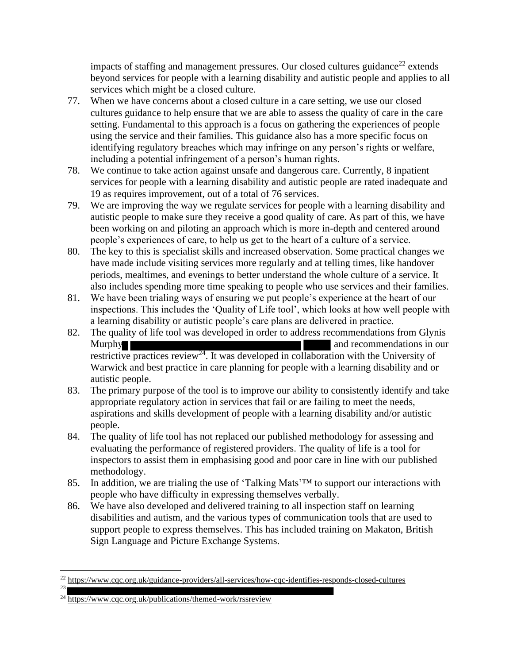impacts of staffing and management pressures. Our closed cultures guidance<sup>22</sup> extends beyond services for people with a learning disability and autistic people and applies to all services which might be a closed culture.

- 77. When we have concerns about a closed culture in a care setting, we use our closed cultures guidance to help ensure that we are able to assess the quality of care in the care setting. Fundamental to this approach is a focus on gathering the experiences of people using the service and their families. This guidance also has a more specific focus on identifying regulatory breaches which may infringe on any person's rights or welfare, including a potential infringement of a person's human rights.
- 78. We continue to take action against unsafe and dangerous care. Currently, 8 inpatient services for people with a learning disability and autistic people are rated inadequate and 19 as requires improvement, out of a total of 76 services.
- 79. We are improving the way we regulate services for people with a learning disability and autistic people to make sure they receive a good quality of care. As part of this, we have been working on and piloting an approach which is more in-depth and centered around people's experiences of care, to help us get to the heart of a culture of a service.
- 80. The key to this is specialist skills and increased observation. Some practical changes we have made include visiting services more regularly and at telling times, like handover periods, mealtimes, and evenings to better understand the whole culture of a service. It also includes spending more time speaking to people who use services and their families.
- 81. We have been trialing ways of ensuring we put people's experience at the heart of our inspections. This includes the 'Quality of Life tool', which looks at how well people with a learning disability or autistic people's care plans are delivered in practice.
- 82. The quality of life tool was developed in order to address recommendations from Glynis Murphy and recommendations in our restrictive practices review<sup>24</sup>. It was developed in collaboration with the University of Warwick and best practice in care planning for people with a learning disability and or autistic people.
- 83. The primary purpose of the tool is to improve our ability to consistently identify and take appropriate regulatory action in services that fail or are failing to meet the needs, aspirations and skills development of people with a learning disability and/or autistic people.
- 84. The quality of life tool has not replaced our published methodology for assessing and evaluating the performance of registered providers. The quality of life is a tool for inspectors to assist them in emphasising good and poor care in line with our published methodology.
- 85. In addition, we are trialing the use of 'Talking Mats'™ to support our interactions with people who have difficulty in expressing themselves verbally.
- 86. We have also developed and delivered training to all inspection staff on learning disabilities and autism, and the various types of communication tools that are used to support people to express themselves. This has included training on Makaton, British Sign Language and Picture Exchange Systems.

<sup>22</sup> <https://www.cqc.org.uk/guidance-providers/all-services/how-cqc-identifies-responds-closed-cultures> 23

<sup>&</sup>lt;sup>24</sup> <https://www.cqc.org.uk/publications/themed-work/rssreview>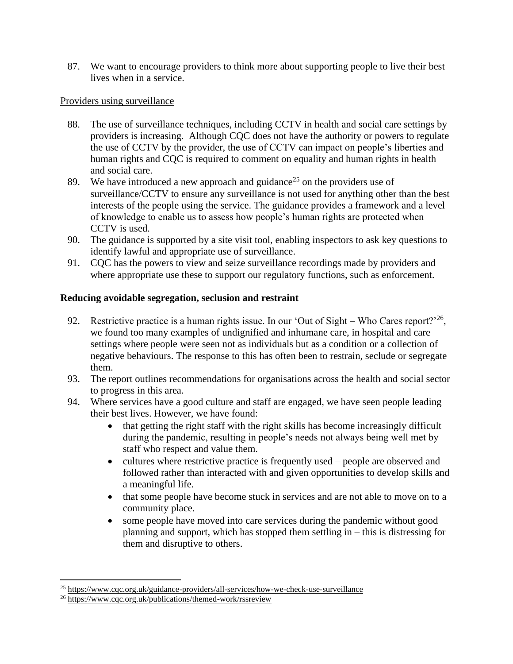87. We want to encourage providers to think more about supporting people to live their best lives when in a service.

## Providers using surveillance

- 88. The use of surveillance techniques, including CCTV in health and social care settings by providers is increasing. Although CQC does not have the authority or powers to regulate the use of CCTV by the provider, the use of CCTV can impact on people's liberties and human rights and CQC is required to comment on equality and human rights in health and social care.
- 89. We have introduced a new approach and guidance<sup>25</sup> on the providers use of surveillance/CCTV to ensure any surveillance is not used for anything other than the best interests of the people using the service. The guidance provides a framework and a level of knowledge to enable us to assess how people's human rights are protected when CCTV is used.
- 90. The guidance is supported by a site visit tool, enabling inspectors to ask key questions to identify lawful and appropriate use of surveillance.
- 91. CQC has the powers to view and seize surveillance recordings made by providers and where appropriate use these to support our regulatory functions, such as enforcement.

## **Reducing avoidable segregation, seclusion and restraint**

- 92. Restrictive practice is a human rights issue. In our 'Out of Sight Who Cares report?<sup>26</sup>, we found too many examples of undignified and inhumane care, in hospital and care settings where people were seen not as individuals but as a condition or a collection of negative behaviours. The response to this has often been to restrain, seclude or segregate them.
- 93. The report outlines recommendations for organisations across the health and social sector to progress in this area.
- 94. Where services have a good culture and staff are engaged, we have seen people leading their best lives. However, we have found:
	- that getting the right staff with the right skills has become increasingly difficult during the pandemic, resulting in people's needs not always being well met by staff who respect and value them.
	- cultures where restrictive practice is frequently used people are observed and followed rather than interacted with and given opportunities to develop skills and a meaningful life.
	- that some people have become stuck in services and are not able to move on to a community place.
	- some people have moved into care services during the pandemic without good planning and support, which has stopped them settling in – this is distressing for them and disruptive to others.

<sup>25</sup> <https://www.cqc.org.uk/guidance-providers/all-services/how-we-check-use-surveillance>

<sup>26</sup> <https://www.cqc.org.uk/publications/themed-work/rssreview>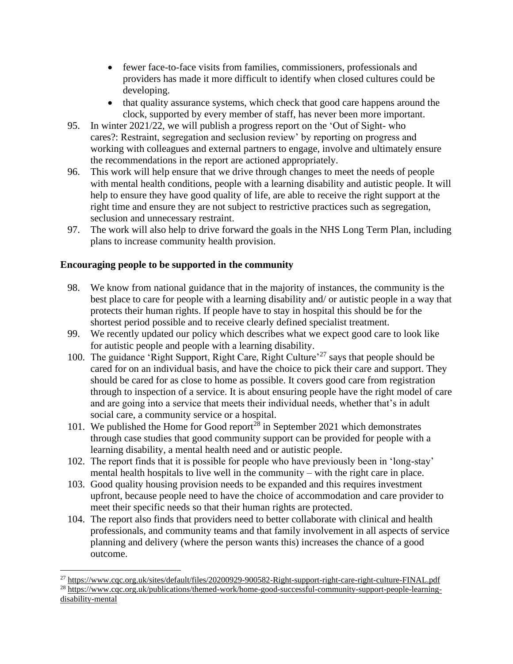- fewer face-to-face visits from families, commissioners, professionals and providers has made it more difficult to identify when closed cultures could be developing.
- that quality assurance systems, which check that good care happens around the clock, supported by every member of staff, has never been more important.
- 95. In winter 2021/22, we will publish a progress report on the 'Out of Sight- who cares?: Restraint, segregation and seclusion review' by reporting on progress and working with colleagues and external partners to engage, involve and ultimately ensure the recommendations in the report are actioned appropriately.
- 96. This work will help ensure that we drive through changes to meet the needs of people with mental health conditions, people with a learning disability and autistic people. It will help to ensure they have good quality of life, are able to receive the right support at the right time and ensure they are not subject to restrictive practices such as segregation, seclusion and unnecessary restraint.
- 97. The work will also help to drive forward the goals in the NHS Long Term Plan, including plans to increase community health provision.

## **Encouraging people to be supported in the community**

- 98. We know from national guidance that in the majority of instances, the community is the best place to care for people with a learning disability and/ or autistic people in a way that protects their human rights. If people have to stay in hospital this should be for the shortest period possible and to receive clearly defined specialist treatment.
- 99. We recently updated our policy which describes what we expect good care to look like for autistic people and people with a learning disability.
- 100. The guidance 'Right Support, Right Care, Right Culture'<sup>27</sup> says that people should be cared for on an individual basis, and have the choice to pick their care and support. They should be cared for as close to home as possible. It covers good care from registration through to inspection of a service. It is about ensuring people have the right model of care and are going into a service that meets their individual needs, whether that's in adult social care, a community service or a hospital.
- 101. We published the Home for Good report<sup>28</sup> in September 2021 which demonstrates through case studies that good community support can be provided for people with a learning disability, a mental health need and or autistic people.
- 102. The report finds that it is possible for people who have previously been in 'long-stay' mental health hospitals to live well in the community – with the right care in place.
- 103. Good quality housing provision needs to be expanded and this requires investment upfront, because people need to have the choice of accommodation and care provider to meet their specific needs so that their human rights are protected.
- 104. The report also finds that providers need to better collaborate with clinical and health professionals, and community teams and that family involvement in all aspects of service planning and delivery (where the person wants this) increases the chance of a good outcome.

<sup>27</sup> <https://www.cqc.org.uk/sites/default/files/20200929-900582-Right-support-right-care-right-culture-FINAL.pdf> <sup>28</sup> [https://www.cqc.org.uk/publications/themed-work/home-good-successful-community-support-people-learning-](https://www.cqc.org.uk/publications/themed-work/home-good-successful-community-support-people-learning-disability-mental)

[disability-mental](https://www.cqc.org.uk/publications/themed-work/home-good-successful-community-support-people-learning-disability-mental)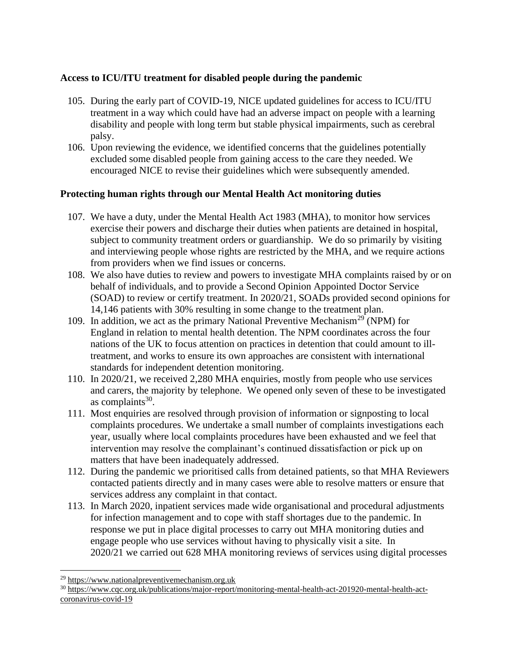## **Access to ICU/ITU treatment for disabled people during the pandemic**

- 105. During the early part of COVID-19, NICE updated guidelines for access to ICU/ITU treatment in a way which could have had an adverse impact on people with a learning disability and people with long term but stable physical impairments, such as cerebral palsy.
- 106. Upon reviewing the evidence, we identified concerns that the guidelines potentially excluded some disabled people from gaining access to the care they needed. We encouraged NICE to revise their guidelines which were subsequently amended.

## **Protecting human rights through our Mental Health Act monitoring duties**

- 107. We have a duty, under the Mental Health Act 1983 (MHA), to monitor how services exercise their powers and discharge their duties when patients are detained in hospital, subject to community treatment orders or guardianship. We do so primarily by visiting and interviewing people whose rights are restricted by the MHA, and we require actions from providers when we find issues or concerns.
- 108. We also have duties to review and powers to investigate MHA complaints raised by or on behalf of individuals, and to provide a Second Opinion Appointed Doctor Service (SOAD) to review or certify treatment. In 2020/21, SOADs provided second opinions for 14,146 patients with 30% resulting in some change to the treatment plan.
- 109. In addition, we act as the primary National Preventive Mechanism<sup>29</sup> (NPM) for England in relation to mental health detention. The NPM coordinates across the four nations of the UK to focus attention on practices in detention that could amount to illtreatment, and works to ensure its own approaches are consistent with international standards for independent detention monitoring.
- 110. In 2020/21, we received 2,280 MHA enquiries, mostly from people who use services and carers, the majority by telephone. We opened only seven of these to be investigated as complaints $30$ .
- 111. Most enquiries are resolved through provision of information or signposting to local complaints procedures. We undertake a small number of complaints investigations each year, usually where local complaints procedures have been exhausted and we feel that intervention may resolve the complainant's continued dissatisfaction or pick up on matters that have been inadequately addressed.
- 112. During the pandemic we prioritised calls from detained patients, so that MHA Reviewers contacted patients directly and in many cases were able to resolve matters or ensure that services address any complaint in that contact.
- 113. In March 2020, inpatient services made wide organisational and procedural adjustments for infection management and to cope with staff shortages due to the pandemic. In response we put in place digital processes to carry out MHA monitoring duties and engage people who use services without having to physically visit a site. In 2020/21 we carried out 628 MHA monitoring reviews of services using digital processes

<sup>&</sup>lt;sup>29</sup> [https://www.nationalpreventivemechanism.org.uk](https://www.nationalpreventivemechanism.org.uk/)

<sup>30</sup> [https://www.cqc.org.uk/publications/major-report/monitoring-mental-health-act-201920-mental-health-act](https://www.cqc.org.uk/publications/major-report/monitoring-mental-health-act-201920-mental-health-act-coronavirus-covid-19)[coronavirus-covid-19](https://www.cqc.org.uk/publications/major-report/monitoring-mental-health-act-201920-mental-health-act-coronavirus-covid-19)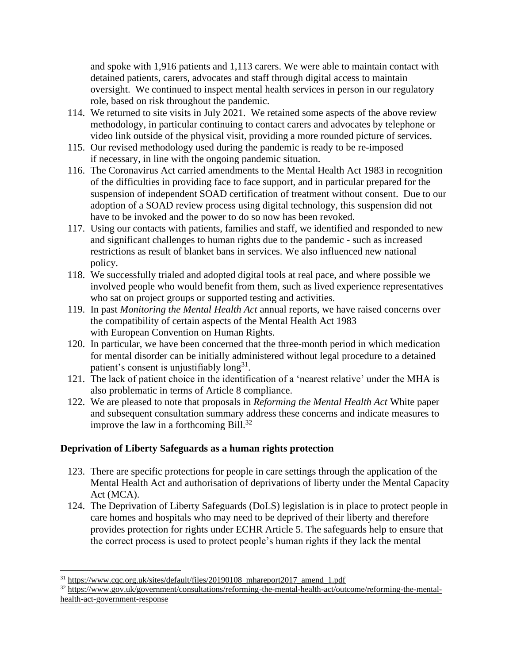and spoke with 1,916 patients and 1,113 carers. We were able to maintain contact with detained patients, carers, advocates and staff through digital access to maintain oversight. We continued to inspect mental health services in person in our regulatory role, based on risk throughout the pandemic.

- 114. We returned to site visits in July 2021. We retained some aspects of the above review methodology, in particular continuing to contact carers and advocates by telephone or video link outside of the physical visit, providing a more rounded picture of services.
- 115. Our revised methodology used during the pandemic is ready to be re-imposed if necessary, in line with the ongoing pandemic situation.
- 116. The Coronavirus Act carried amendments to the Mental Health Act 1983 in recognition of the difficulties in providing face to face support, and in particular prepared for the suspension of independent SOAD certification of treatment without consent. Due to our adoption of a SOAD review process using digital technology, this suspension did not have to be invoked and the power to do so now has been revoked.
- 117. Using our contacts with patients, families and staff, we identified and responded to new and significant challenges to human rights due to the pandemic - such as increased restrictions as result of blanket bans in services. We also influenced new national policy.
- 118. We successfully trialed and adopted digital tools at real pace, and where possible we involved people who would benefit from them, such as lived experience representatives who sat on project groups or supported testing and activities.
- 119. In past *Monitoring the Mental Health Act* annual reports, we have raised concerns over the compatibility of certain aspects of the Mental Health Act 1983 with European Convention on Human Rights.
- 120. In particular, we have been concerned that the three-month period in which medication for mental disorder can be initially administered without legal procedure to a detained patient's consent is unjustifiably long<sup>31</sup>.
- 121. The lack of patient choice in the identification of a 'nearest relative' under the MHA is also problematic in terms of Article 8 compliance.
- 122. We are pleased to note that proposals in *Reforming the Mental Health Act* White paper and subsequent consultation summary address these concerns and indicate measures to improve the law in a forthcoming Bill. $^{32}$

## **Deprivation of Liberty Safeguards as a human rights protection**

- 123. There are specific protections for people in care settings through the application of the Mental Health Act and authorisation of deprivations of liberty under the Mental Capacity Act (MCA).
- 124. The Deprivation of Liberty Safeguards (DoLS) legislation is in place to protect people in care homes and hospitals who may need to be deprived of their liberty and therefore provides protection for rights under ECHR Article 5. The safeguards help to ensure that the correct process is used to protect people's human rights if they lack the mental

<sup>31</sup> [https://www.cqc.org.uk/sites/default/files/20190108\\_mhareport2017\\_amend\\_1.pdf](https://www.cqc.org.uk/sites/default/files/20190108_mhareport2017_amend_1.pdf)

<sup>32</sup> [https://www.gov.uk/government/consultations/reforming-the-mental-health-act/outcome/reforming-the-mental](https://www.gov.uk/government/consultations/reforming-the-mental-health-act/outcome/reforming-the-mental-health-act-government-response)[health-act-government-response](https://www.gov.uk/government/consultations/reforming-the-mental-health-act/outcome/reforming-the-mental-health-act-government-response)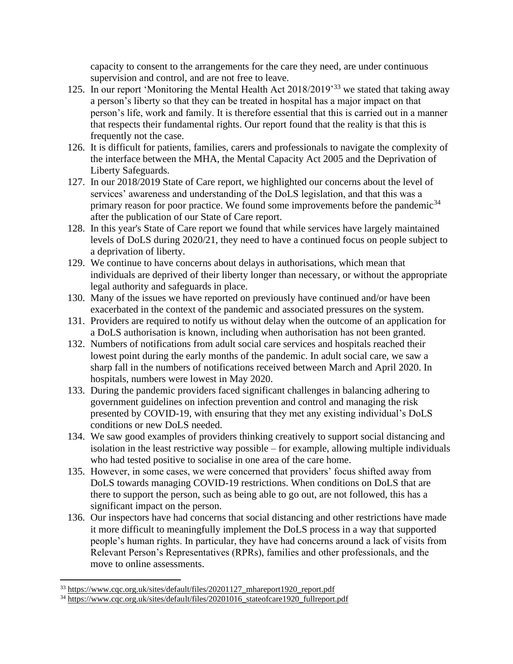capacity to consent to the arrangements for the care they need, are under continuous supervision and control, and are not free to leave.

- 125. In our report 'Monitoring the Mental Health Act 2018/2019<sup>33</sup> we stated that taking away a person's liberty so that they can be treated in hospital has a major impact on that person's life, work and family. It is therefore essential that this is carried out in a manner that respects their fundamental rights. Our report found that the reality is that this is frequently not the case.
- 126. It is difficult for patients, families, carers and professionals to navigate the complexity of the interface between the MHA, the Mental Capacity Act 2005 and the Deprivation of Liberty Safeguards.
- 127. In our 2018/2019 State of Care report, we highlighted our concerns about the level of services' awareness and understanding of the DoLS legislation, and that this was a primary reason for poor practice. We found some improvements before the pandemic<sup>34</sup> after the publication of our State of Care report.
- 128. In this year's State of Care report we found that while services have largely maintained levels of DoLS during 2020/21, they need to have a continued focus on people subject to a deprivation of liberty.
- 129. We continue to have concerns about delays in authorisations, which mean that individuals are deprived of their liberty longer than necessary, or without the appropriate legal authority and safeguards in place.
- 130. Many of the issues we have reported on previously have continued and/or have been exacerbated in the context of the pandemic and associated pressures on the system.
- 131. Providers are required to notify us without delay when the outcome of an application for a DoLS authorisation is known, including when authorisation has not been granted.
- 132. Numbers of notifications from adult social care services and hospitals reached their lowest point during the early months of the pandemic. In adult social care, we saw a sharp fall in the numbers of notifications received between March and April 2020. In hospitals, numbers were lowest in May 2020.
- 133. During the pandemic providers faced significant challenges in balancing adhering to government guidelines on infection prevention and control and managing the risk presented by COVID-19, with ensuring that they met any existing individual's DoLS conditions or new DoLS needed.
- 134. We saw good examples of providers thinking creatively to support social distancing and isolation in the least restrictive way possible – for example, allowing multiple individuals who had tested positive to socialise in one area of the care home.
- 135. However, in some cases, we were concerned that providers' focus shifted away from DoLS towards managing COVID-19 restrictions. When conditions on DoLS that are there to support the person, such as being able to go out, are not followed, this has a significant impact on the person.
- 136. Our inspectors have had concerns that social distancing and other restrictions have made it more difficult to meaningfully implement the DoLS process in a way that supported people's human rights. In particular, they have had concerns around a lack of visits from Relevant Person's Representatives (RPRs), families and other professionals, and the move to online assessments.

<sup>&</sup>lt;sup>33</sup> [https://www.cqc.org.uk/sites/default/files/20201127\\_mhareport1920\\_report.pdf](https://www.cqc.org.uk/sites/default/files/20201127_mhareport1920_report.pdf)

<sup>&</sup>lt;sup>34</sup> [https://www.cqc.org.uk/sites/default/files/20201016\\_stateofcare1920\\_fullreport.pdf](https://www.cqc.org.uk/sites/default/files/20201016_stateofcare1920_fullreport.pdf)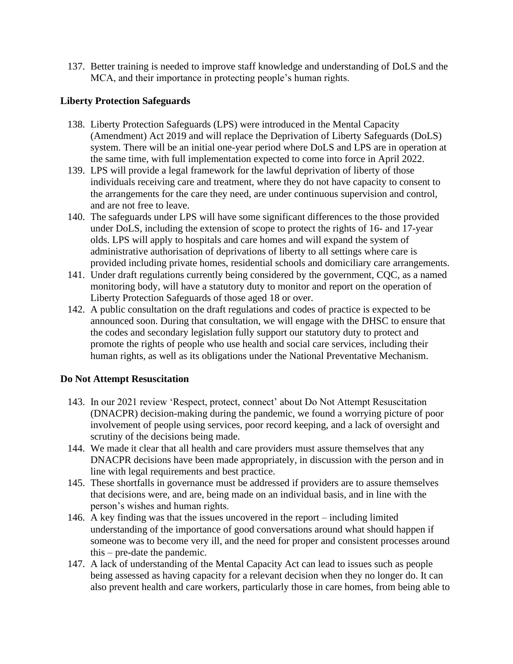137. Better training is needed to improve staff knowledge and understanding of DoLS and the MCA, and their importance in protecting people's human rights.

## **Liberty Protection Safeguards**

- 138. Liberty Protection Safeguards (LPS) were introduced in the Mental Capacity (Amendment) Act 2019 and will replace the Deprivation of Liberty Safeguards (DoLS) system. There will be an initial one-year period where DoLS and LPS are in operation at the same time, with full implementation expected to come into force in April 2022.
- 139. LPS will provide a legal framework for the lawful deprivation of liberty of those individuals receiving care and treatment, where they do not have capacity to consent to the arrangements for the care they need, are under continuous supervision and control, and are not free to leave.
- 140. The safeguards under LPS will have some significant differences to the those provided under DoLS, including the extension of scope to protect the rights of 16- and 17-year olds. LPS will apply to hospitals and care homes and will expand the system of administrative authorisation of deprivations of liberty to all settings where care is provided including private homes, residential schools and domiciliary care arrangements.
- 141. Under draft regulations currently being considered by the government, CQC, as a named monitoring body, will have a statutory duty to monitor and report on the operation of Liberty Protection Safeguards of those aged 18 or over.
- 142. A public consultation on the draft regulations and codes of practice is expected to be announced soon. During that consultation, we will engage with the DHSC to ensure that the codes and secondary legislation fully support our statutory duty to protect and promote the rights of people who use health and social care services, including their human rights, as well as its obligations under the National Preventative Mechanism.

## **Do Not Attempt Resuscitation**

- 143. In our 2021 review 'Respect, protect, connect' about Do Not Attempt Resuscitation (DNACPR) decision-making during the pandemic, we found a worrying picture of poor involvement of people using services, poor record keeping, and a lack of oversight and scrutiny of the decisions being made.
- 144. We made it clear that all health and care providers must assure themselves that any DNACPR decisions have been made appropriately, in discussion with the person and in line with legal requirements and best practice.
- 145. These shortfalls in governance must be addressed if providers are to assure themselves that decisions were, and are, being made on an individual basis, and in line with the person's wishes and human rights.
- 146. A key finding was that the issues uncovered in the report including limited understanding of the importance of good conversations around what should happen if someone was to become very ill, and the need for proper and consistent processes around this – pre-date the pandemic.
- 147. A lack of understanding of the Mental Capacity Act can lead to issues such as people being assessed as having capacity for a relevant decision when they no longer do. It can also prevent health and care workers, particularly those in care homes, from being able to